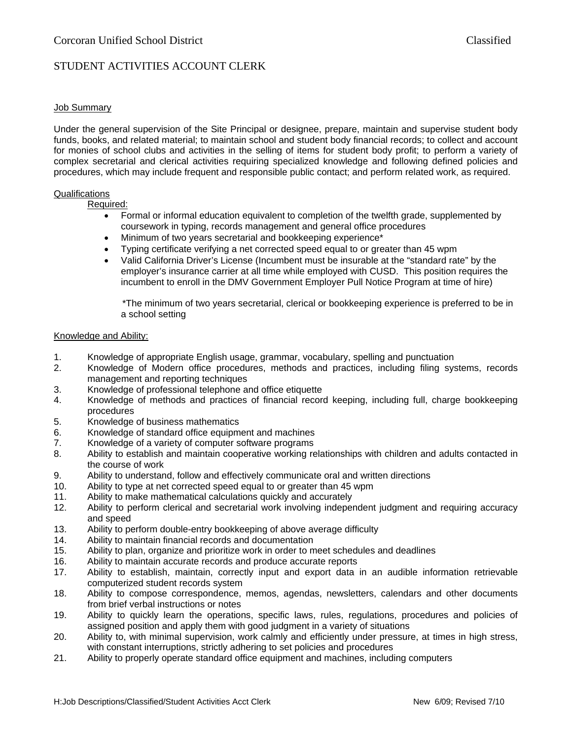## STUDENT ACTIVITIES ACCOUNT CLERK

### Job Summary

Under the general supervision of the Site Principal or designee, prepare, maintain and supervise student body funds, books, and related material; to maintain school and student body financial records; to collect and account for monies of school clubs and activities in the selling of items for student body profit; to perform a variety of complex secretarial and clerical activities requiring specialized knowledge and following defined policies and procedures, which may include frequent and responsible public contact; and perform related work, as required.

#### Qualifications

Required:

- Formal or informal education equivalent to completion of the twelfth grade, supplemented by coursework in typing, records management and general office procedures
- Minimum of two years secretarial and bookkeeping experience\*
- Typing certificate verifying a net corrected speed equal to or greater than 45 wpm
- Valid California Driver's License (Incumbent must be insurable at the "standard rate" by the employer's insurance carrier at all time while employed with CUSD. This position requires the incumbent to enroll in the DMV Government Employer Pull Notice Program at time of hire)

 \*The minimum of two years secretarial, clerical or bookkeeping experience is preferred to be in a school setting

#### Knowledge and Ability:

- 1. Knowledge of appropriate English usage, grammar, vocabulary, spelling and punctuation
- 2. Knowledge of Modern office procedures, methods and practices, including filing systems, records management and reporting techniques
- 3. Knowledge of professional telephone and office etiquette
- 4. Knowledge of methods and practices of financial record keeping, including full, charge bookkeeping procedures
- 5. Knowledge of business mathematics
- 6. Knowledge of standard office equipment and machines
- 7. Knowledge of a variety of computer software programs
- 8. Ability to establish and maintain cooperative working relationships with children and adults contacted in the course of work
- 9. Ability to understand, follow and effectively communicate oral and written directions
- 10. Ability to type at net corrected speed equal to or greater than 45 wpm
- 11. Ability to make mathematical calculations quickly and accurately
- 12. Ability to perform clerical and secretarial work involving independent judgment and requiring accuracy and speed
- 13. Ability to perform double-entry bookkeeping of above average difficulty
- 14. Ability to maintain financial records and documentation
- 15. Ability to plan, organize and prioritize work in order to meet schedules and deadlines
- 16. Ability to maintain accurate records and produce accurate reports
- 17. Ability to establish, maintain, correctly input and export data in an audible information retrievable computerized student records system
- 18. Ability to compose correspondence, memos, agendas, newsletters, calendars and other documents from brief verbal instructions or notes
- 19. Ability to quickly learn the operations, specific laws, rules, regulations, procedures and policies of assigned position and apply them with good judgment in a variety of situations
- 20. Ability to, with minimal supervision, work calmly and efficiently under pressure, at times in high stress, with constant interruptions, strictly adhering to set policies and procedures
- 21. Ability to properly operate standard office equipment and machines, including computers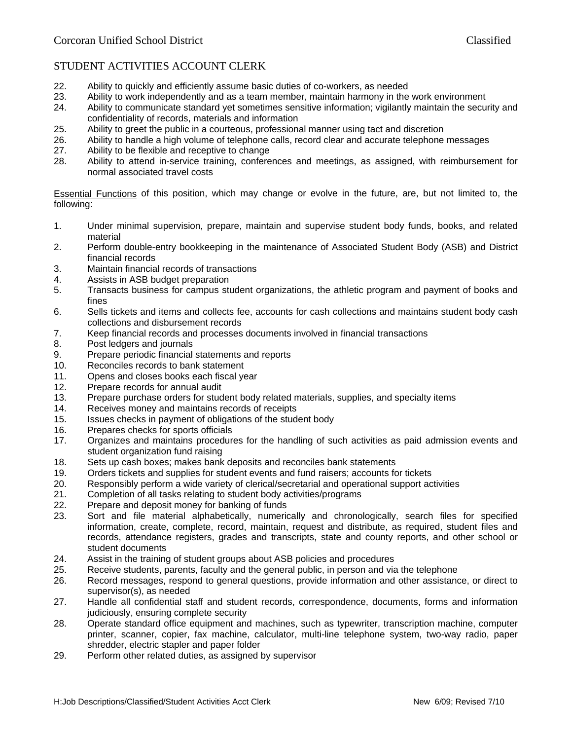# STUDENT ACTIVITIES ACCOUNT CLERK

- 22. Ability to quickly and efficiently assume basic duties of co-workers, as needed
- 23. Ability to work independently and as a team member, maintain harmony in the work environment<br>24. Ability to communicate standard vet sometimes sensitive information: vigilantly maintain the secu
- Ability to communicate standard yet sometimes sensitive information; vigilantly maintain the security and confidentiality of records, materials and information
- 25. Ability to greet the public in a courteous, professional manner using tact and discretion
- 26. Ability to handle a high volume of telephone calls, record clear and accurate telephone messages
- 27. Ability to be flexible and receptive to change
- 28. Ability to attend in-service training, conferences and meetings, as assigned, with reimbursement for normal associated travel costs

Essential Functions of this position, which may change or evolve in the future, are, but not limited to, the following:

- 1. Under minimal supervision, prepare, maintain and supervise student body funds, books, and related material
- 2. Perform double-entry bookkeeping in the maintenance of Associated Student Body (ASB) and District financial records
- 3. Maintain financial records of transactions
- 4. Assists in ASB budget preparation
- 5. Transacts business for campus student organizations, the athletic program and payment of books and fines
- 6. Sells tickets and items and collects fee, accounts for cash collections and maintains student body cash collections and disbursement records
- 7. Keep financial records and processes documents involved in financial transactions
- 8. Post ledgers and journals
- 9. Prepare periodic financial statements and reports
- 10. Reconciles records to bank statement
- 11. Opens and closes books each fiscal year
- 12. Prepare records for annual audit
- 13. Prepare purchase orders for student body related materials, supplies, and specialty items
- 14. Receives money and maintains records of receipts
- 15. Issues checks in payment of obligations of the student body
- 16. Prepares checks for sports officials
- 17. Organizes and maintains procedures for the handling of such activities as paid admission events and student organization fund raising
- 18. Sets up cash boxes; makes bank deposits and reconciles bank statements
- 19. Orders tickets and supplies for student events and fund raisers; accounts for tickets
- 20. Responsibly perform a wide variety of clerical/secretarial and operational support activities
- 21. Completion of all tasks relating to student body activities/programs
- 22. Prepare and deposit money for banking of funds
- 23. Sort and file material alphabetically, numerically and chronologically, search files for specified information, create, complete, record, maintain, request and distribute, as required, student files and records, attendance registers, grades and transcripts, state and county reports, and other school or student documents
- 24. Assist in the training of student groups about ASB policies and procedures
- 25. Receive students, parents, faculty and the general public, in person and via the telephone
- 26. Record messages, respond to general questions, provide information and other assistance, or direct to supervisor(s), as needed
- 27. Handle all confidential staff and student records, correspondence, documents, forms and information judiciously, ensuring complete security
- 28. Operate standard office equipment and machines, such as typewriter, transcription machine, computer printer, scanner, copier, fax machine, calculator, multi-line telephone system, two-way radio, paper shredder, electric stapler and paper folder
- 29. Perform other related duties, as assigned by supervisor